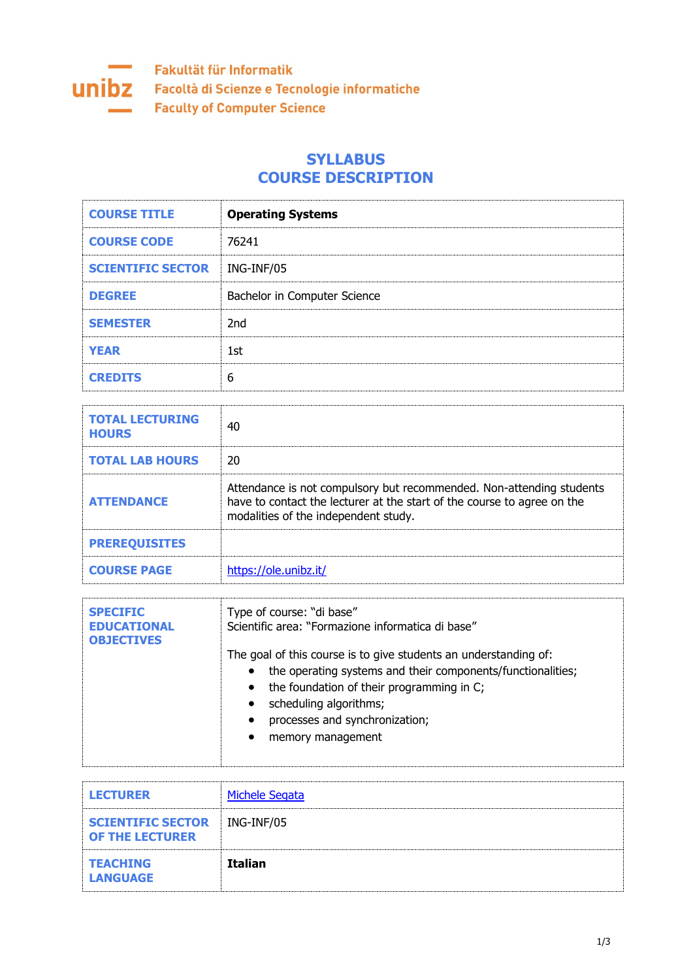

## **SYLLABUS COURSE DESCRIPTION**

| <b>COURSE TITLE</b>      | <b>Operating Systems</b>     |
|--------------------------|------------------------------|
| <b>COURSE CODE</b>       | 76241                        |
| <b>SCIENTIFIC SECTOR</b> | ING-INF/05                   |
| <b>DEGREE</b>            | Bachelor in Computer Science |
| <b>SEMESTER</b>          | 2nd                          |
| <b>YEAR</b>              | 1st                          |
| <b>CREDITS</b>           | 6                            |

| <b>TOTAL LECTURING</b><br><b>HOURS</b> | 40                                                                                                                                                                                      |
|----------------------------------------|-----------------------------------------------------------------------------------------------------------------------------------------------------------------------------------------|
| <b>TOTAL LAB HOURS</b>                 | 20                                                                                                                                                                                      |
| <b>ATTENDANCE</b>                      | Attendance is not compulsory but recommended. Non-attending students<br>have to contact the lecturer at the start of the course to agree on the<br>modalities of the independent study. |
| <b>PREREQUISITES</b>                   |                                                                                                                                                                                         |
| <b>COURSE PAGE</b>                     | https://ole.unibz.it/                                                                                                                                                                   |

| <b>SPECIFIC</b><br><b>EDUCATIONAL</b><br><b>OBJECTIVES</b> | Type of course: "di base"<br>Scientific area: "Formazione informatica di base"                                                                                                                                                                                                                                                 |
|------------------------------------------------------------|--------------------------------------------------------------------------------------------------------------------------------------------------------------------------------------------------------------------------------------------------------------------------------------------------------------------------------|
|                                                            | The goal of this course is to give students an understanding of:<br>the operating systems and their components/functionalities;<br>$\bullet$<br>the foundation of their programming in C;<br>$\bullet$<br>scheduling algorithms;<br>$\bullet$<br>processes and synchronization;<br>$\bullet$<br>memory management<br>$\bullet$ |

| <b>LECTURER</b>                                    | <b>Michele Segata</b> |
|----------------------------------------------------|-----------------------|
| <b>SCIENTIFIC SECTOR</b><br><b>OF THE LECTURER</b> | ING-INF/05            |
| <b>TEACHING</b><br><b>LANGUAGE</b>                 | <b>Italian</b>        |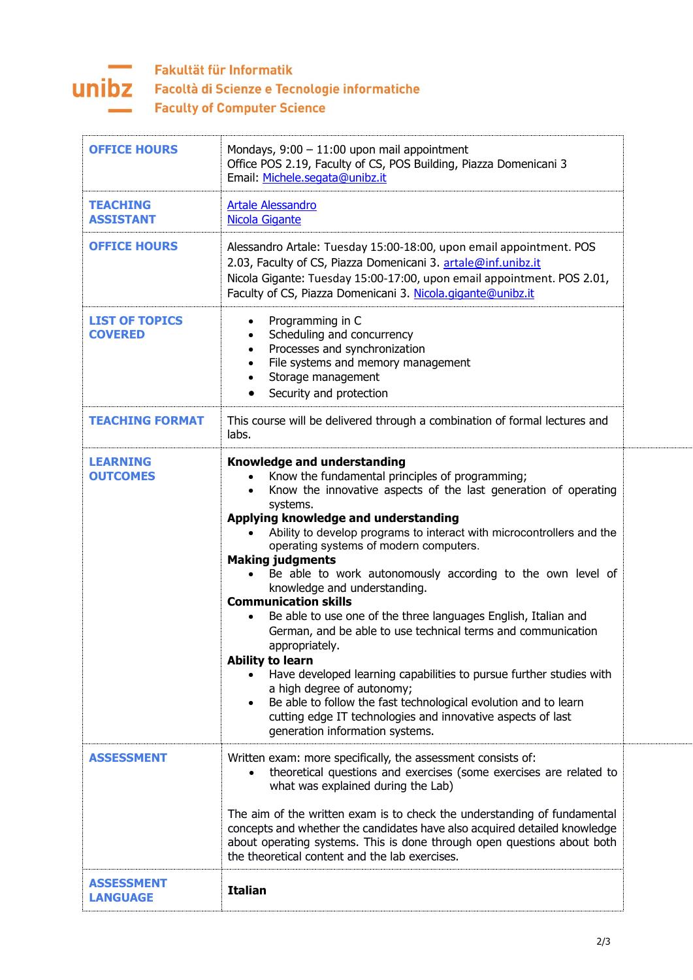

## Fakultät für Informatik **UNIDZ** Facoltà di Scienze e Tecnologie informatiche **Faculty of Computer Science**

| <b>OFFICE HOURS</b>                     | Mondays, $9:00 - 11:00$ upon mail appointment<br>Office POS 2.19, Faculty of CS, POS Building, Piazza Domenicani 3<br>Email: Michele.segata@unibz.it                                                                                                                                                                                                                                                                                                                                                                                                                                                                                                                                                                                                                                                                                                                                                                                                          |
|-----------------------------------------|---------------------------------------------------------------------------------------------------------------------------------------------------------------------------------------------------------------------------------------------------------------------------------------------------------------------------------------------------------------------------------------------------------------------------------------------------------------------------------------------------------------------------------------------------------------------------------------------------------------------------------------------------------------------------------------------------------------------------------------------------------------------------------------------------------------------------------------------------------------------------------------------------------------------------------------------------------------|
| <b>TEACHING</b><br><b>ASSISTANT</b>     | <b>Artale Alessandro</b><br>Nicola Gigante                                                                                                                                                                                                                                                                                                                                                                                                                                                                                                                                                                                                                                                                                                                                                                                                                                                                                                                    |
| <b>OFFICE HOURS</b>                     | Alessandro Artale: Tuesday 15:00-18:00, upon email appointment. POS<br>2.03, Faculty of CS, Piazza Domenicani 3. artale@inf.unibz.it<br>Nicola Gigante: Tuesday 15:00-17:00, upon email appointment. POS 2.01,<br>Faculty of CS, Piazza Domenicani 3. Nicola.gigante@unibz.it                                                                                                                                                                                                                                                                                                                                                                                                                                                                                                                                                                                                                                                                                 |
| <b>LIST OF TOPICS</b><br><b>COVERED</b> | Programming in C<br>Scheduling and concurrency<br>Processes and synchronization<br>$\bullet$<br>File systems and memory management<br>Storage management<br>Security and protection                                                                                                                                                                                                                                                                                                                                                                                                                                                                                                                                                                                                                                                                                                                                                                           |
| <b>TEACHING FORMAT</b>                  | This course will be delivered through a combination of formal lectures and<br>labs.                                                                                                                                                                                                                                                                                                                                                                                                                                                                                                                                                                                                                                                                                                                                                                                                                                                                           |
| <b>LEARNING</b><br><b>OUTCOMES</b>      | <b>Knowledge and understanding</b><br>Know the fundamental principles of programming;<br>Know the innovative aspects of the last generation of operating<br>$\bullet$<br>systems.<br>Applying knowledge and understanding<br>Ability to develop programs to interact with microcontrollers and the<br>operating systems of modern computers.<br><b>Making judgments</b><br>Be able to work autonomously according to the own level of<br>knowledge and understanding.<br><b>Communication skills</b><br>Be able to use one of the three languages English, Italian and<br>German, and be able to use technical terms and communication<br>appropriately.<br><b>Ability to learn</b><br>Have developed learning capabilities to pursue further studies with<br>a high degree of autonomy;<br>Be able to follow the fast technological evolution and to learn<br>cutting edge IT technologies and innovative aspects of last<br>generation information systems. |
| <b>ASSESSMENT</b>                       | Written exam: more specifically, the assessment consists of:<br>theoretical questions and exercises (some exercises are related to<br>what was explained during the Lab)<br>The aim of the written exam is to check the understanding of fundamental<br>concepts and whether the candidates have also acquired detailed knowledge<br>about operating systems. This is done through open questions about both<br>the theoretical content and the lab exercises.                                                                                                                                                                                                                                                                                                                                                                                                                                                                                                |
| <b>ASSESSMENT</b><br><b>LANGUAGE</b>    | <b>Italian</b>                                                                                                                                                                                                                                                                                                                                                                                                                                                                                                                                                                                                                                                                                                                                                                                                                                                                                                                                                |